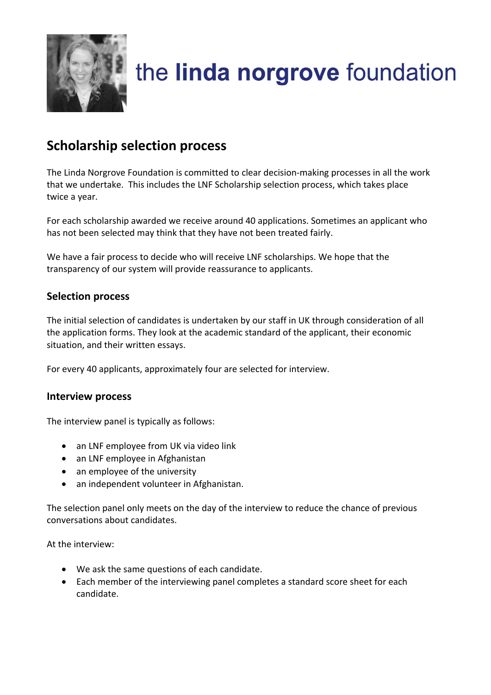

# the linda norgrove foundation

## **Scholarship selection process**

The Linda Norgrove Foundation is committed to clear decision-making processes in all the work that we undertake. This includes the LNF Scholarship selection process, which takes place twice a year.

For each scholarship awarded we receive around 40 applications. Sometimes an applicant who has not been selected may think that they have not been treated fairly.

We have a fair process to decide who will receive LNF scholarships. We hope that the transparency of our system will provide reassurance to applicants.

#### **Selection process**

The initial selection of candidates is undertaken by our staff in UK through consideration of all the application forms. They look at the academic standard of the applicant, their economic situation, and their written essays.

For every 40 applicants, approximately four are selected for interview.

#### **Interview process**

The interview panel is typically as follows:

- an LNF employee from UK via video link
- an LNF employee in Afghanistan
- an employee of the university
- an independent volunteer in Afghanistan.

The selection panel only meets on the day of the interview to reduce the chance of previous conversations about candidates.

At the interview:

- We ask the same questions of each candidate.
- Each member of the interviewing panel completes a standard score sheet for each candidate.